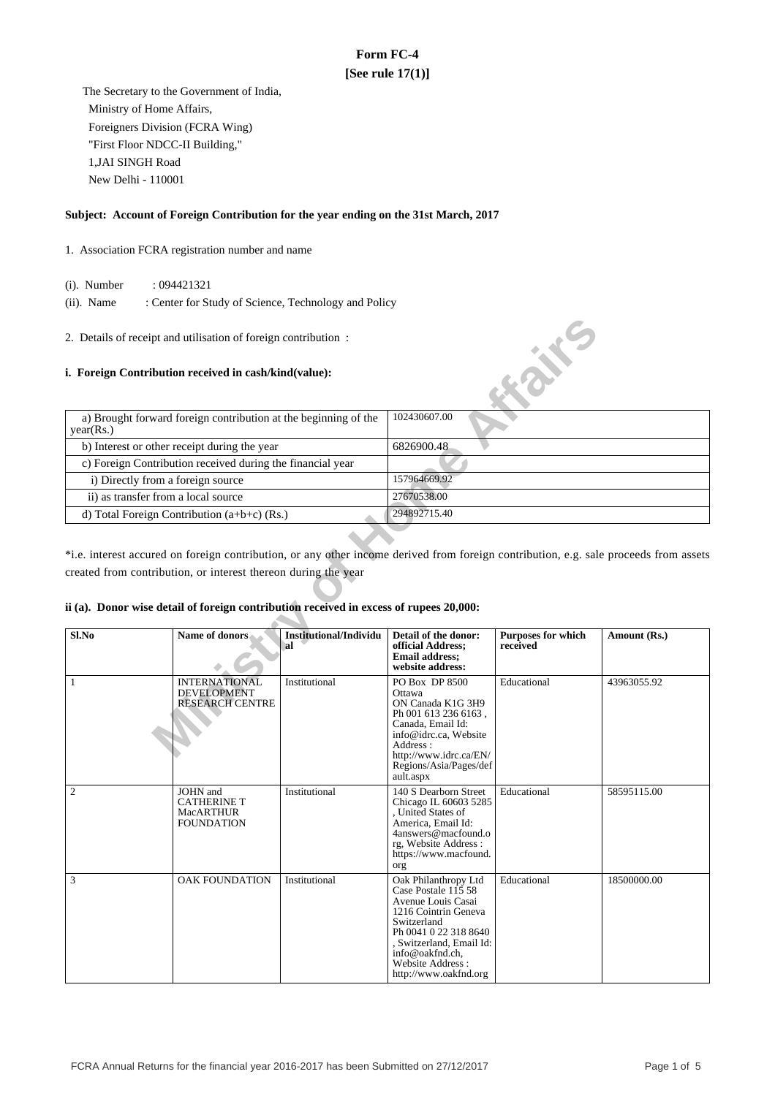# **Form FC-4 [See rule 17(1)]**

 The Secretary to the Government of India, Ministry of Home Affairs, Foreigners Division (FCRA Wing) "First Floor NDCC-II Building," 1,JAI SINGH Road New Delhi - 110001

### **Subject: Account of Foreign Contribution for the year ending on the 31st March, 2017**

- 1. Association FCRA registration number and name
	- (i). Number : 094421321
	- (ii). Name : Center for Study of Science, Technology and Policy
- 2. Details of receipt and utilisation of foreign contribution :

#### **i. Foreign Contribution received in cash/kind(value):**



\*i.e. interest accured on foreign contribution, or any other income derived from foreign contribution, e.g. sale proceeds from assets created from contribution, or interest thereon during the year

#### **ii (a). Donor wise detail of foreign contribution received in excess of rupees 20,000:**

| Sl.No          | Name of donors                                                          | Institutional/Individu<br>`al | Detail of the donor:<br>official Address;<br><b>Email address;</b><br>website address:                                                                                                                                        | <b>Purposes for which</b><br>received | Amount (Rs.) |
|----------------|-------------------------------------------------------------------------|-------------------------------|-------------------------------------------------------------------------------------------------------------------------------------------------------------------------------------------------------------------------------|---------------------------------------|--------------|
| 1              | <b>INTERNATIONAL</b><br><b>DEVELOPMENT</b><br><b>RESEARCH CENTRE</b>    | Institutional                 | PO Box DP 8500<br>Ottawa<br>ON Canada K1G 3H9<br>Ph 001 613 236 6163,<br>Canada, Email Id:<br>info@idrc.ca, Website<br>Address:<br>http://www.idrc.ca/EN/<br>Regions/Asia/Pages/def<br>ault.aspx                              | Educational                           | 43963055.92  |
| $\mathfrak{2}$ | JOHN and<br><b>CATHERINE T</b><br><b>MacARTHUR</b><br><b>FOUNDATION</b> | Institutional                 | 140 S Dearborn Street<br>Chicago IL 60603 5285<br>, United States of<br>America, Email Id:<br>4answers@macfound.o<br>rg, Website Address:<br>https://www.macfound.<br>org                                                     | Educational                           | 58595115.00  |
| 3              | <b>OAK FOUNDATION</b>                                                   | Institutional                 | Oak Philanthropy Ltd<br>Case Postale 115 58<br>Avenue Louis Casai<br>1216 Cointrin Geneva<br>Switzerland<br>Ph 0041 0 22 318 8640<br>, Switzerland, Email Id:<br>info@oakfnd.ch.<br>Website Address:<br>http://www.oakfnd.org | Educational                           | 18500000.00  |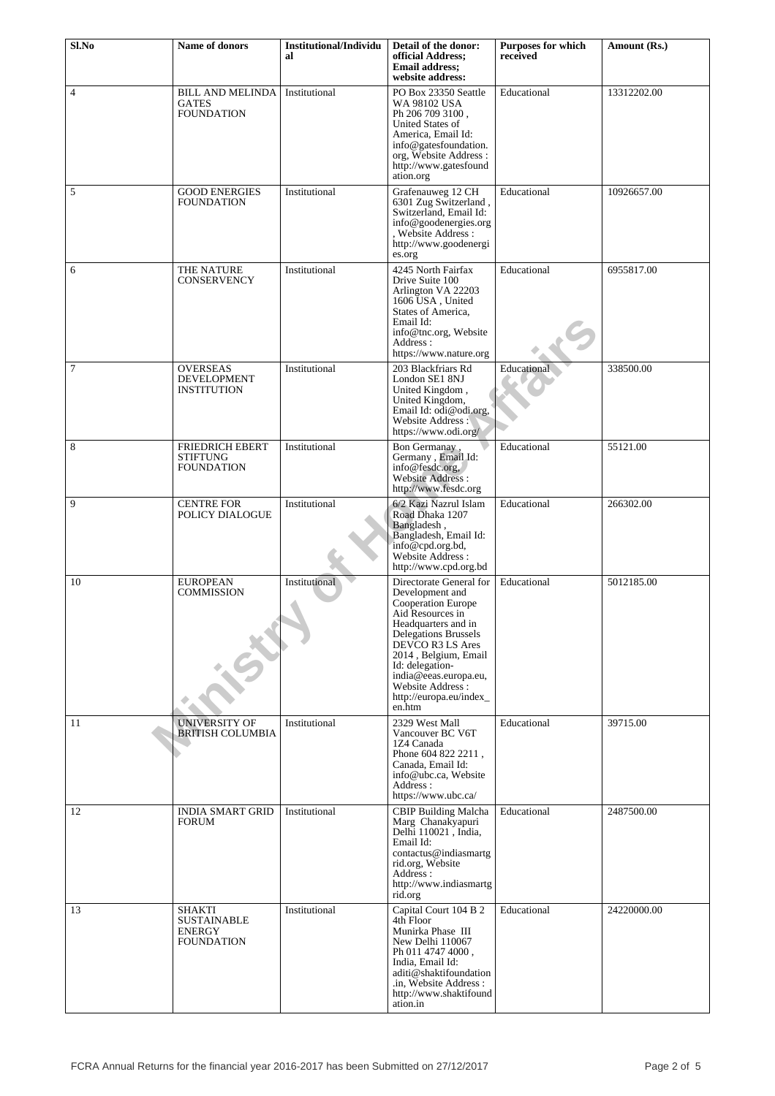| Sl.No          | Name of donors                                               | <b>Institutional/Individu</b><br>al | Detail of the donor:<br>official Address;<br><b>Email address:</b><br>website address:                                                                                                                                                                                               | <b>Purposes for which</b><br>received | Amount (Rs.) |
|----------------|--------------------------------------------------------------|-------------------------------------|--------------------------------------------------------------------------------------------------------------------------------------------------------------------------------------------------------------------------------------------------------------------------------------|---------------------------------------|--------------|
| $\overline{4}$ | <b>BILL AND MELINDA</b><br><b>GATES</b><br><b>FOUNDATION</b> | Institutional                       | PO Box 23350 Seattle<br>WA 98102 USA<br>Ph 206 709 3100.<br><b>United States of</b><br>America, Email Id:<br>info@gatesfoundation.<br>org, Website Address:<br>http://www.gatesfound<br>ation.org                                                                                    | Educational                           | 13312202.00  |
| 5              | <b>GOOD ENERGIES</b><br>FOUNDATION                           | Institutional                       | Grafenauweg 12 CH<br>6301 Zug Switzerland,<br>Switzerland, Email Id:<br>info@goodenergies.org<br>, Website Address :<br>http://www.goodenergi<br>es.org                                                                                                                              | Educational                           | 10926657.00  |
| 6              | THE NATURE<br><b>CONSERVENCY</b>                             | Institutional                       | 4245 North Fairfax<br>Drive Suite 100<br>Arlington VA 22203<br>1606 USA, United<br>States of America,<br>Email Id:<br>info@tnc.org, Website<br>Address:<br>https://www.nature.org                                                                                                    | Educational                           | 6955817.00   |
| 7              | <b>OVERSEAS</b><br><b>DEVELOPMENT</b><br><b>INSTITUTION</b>  | Institutional                       | 203 Blackfriars Rd<br>London SE1 8NJ<br>United Kingdom,<br>United Kingdom,<br>Email Id: odi@odi.org,<br>Website Address:<br>https://www.odi.org/                                                                                                                                     | Educational                           | 338500.00    |
| 8              | <b>FRIEDRICH EBERT</b><br>STIFTUNG<br>FOUNDATION             | Institutional                       | Bon Germanay,<br>Germany, Email Id:<br>info@fesdc.org,<br><b>Website Address:</b><br>http://www.fesdc.org                                                                                                                                                                            | Educational                           | 55121.00     |
| 9              | <b>CENTRE FOR</b><br>POLICY DIALOGUE                         | Institutional                       | 6/2 Kazi Nazrul Islam<br>Road Dhaka 1207<br>Bangladesh,<br>Bangladesh, Email Id:<br>info@cpd.org.bd,<br>Website Address:<br>http://www.cpd.org.bd                                                                                                                                    | Educational                           | 266302.00    |
| 10             | <b>EUROPEAN</b><br>COMMISSION                                | Institutional                       | Directorate General for<br>Development and<br>Cooperation Europe<br>Aid Resources in<br>Headquarters and in<br>Delegations Brussels<br>DEVCO R3 LS Ares<br>2014, Belgium, Email<br>Id: delegation-<br>india@eeas.europa.eu,<br>Website Address:<br>http://europa.eu/index_<br>en.htm | Educational                           | 5012185.00   |
| 11             | <b>UNIVERSITY OF</b><br><b>BRITISH COLUMBIA</b>              | Institutional                       | 2329 West Mall<br>Vancouver BC V6T<br>1Z4 Canada<br>Phone 604 822 2211,<br>Canada, Email Id:<br>info@ubc.ca, Website<br>Address:<br>https://www.ubc.ca/                                                                                                                              | Educational                           | 39715.00     |
| 12             | <b>INDIA SMART GRID</b><br>FORUM                             | Institutional                       | <b>CBIP Building Malcha</b><br>Marg Chanakyapuri<br>Delhi 110021, India,<br>Email Id:<br>contactus@indiasmartg<br>rid.org, Website<br>Address:<br>http://www.indiasmartg<br>rid.org                                                                                                  | Educational                           | 2487500.00   |
| 13             | SHAKTI<br>SUSTAINABLE<br>ENERGY<br><b>FOUNDATION</b>         | Institutional                       | Capital Court 104 B 2<br>4th Floor<br>Munirka Phase III<br>New Delhi 110067<br>Ph 011 4747 4000,<br>India, Email Id:<br>aditi@shaktifoundation<br>.in, Website Address :<br>http://www.shaktifound<br>ation.in                                                                       | Educational                           | 24220000.00  |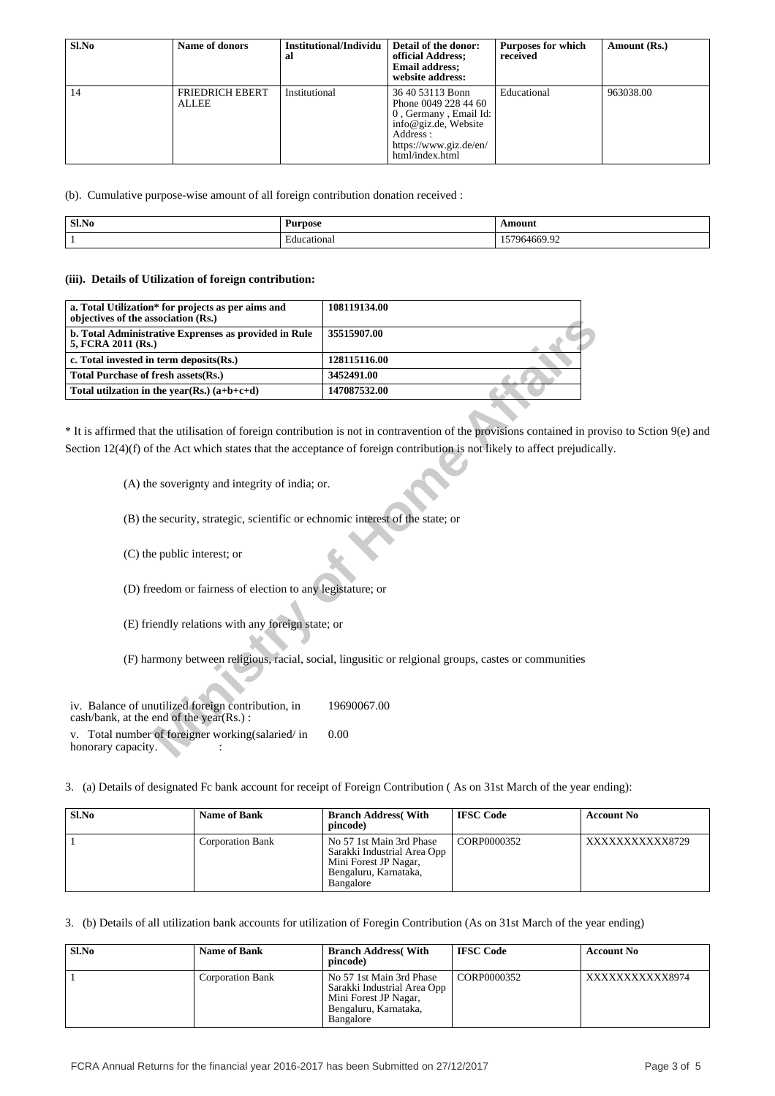| Sl.No | <b>Name of donors</b>           | Institutional/Individu<br>al | Detail of the donor:<br>official Address;<br><b>Email address:</b><br>website address:                                                              | <b>Purposes for which</b><br>received | Amount (Rs.) |
|-------|---------------------------------|------------------------------|-----------------------------------------------------------------------------------------------------------------------------------------------------|---------------------------------------|--------------|
| 14    | FRIEDRICH EBERT<br><b>ALLEE</b> | Institutional                | 36 40 53113 Bonn<br>Phone 0049 228 44 60<br>0, Germany, Email Id:<br>info@giz.de, Website<br>Address :<br>https://www.giz.de/en/<br>html/index.html | Educational                           | 963038.00    |

(b). Cumulative purpose-wise amount of all foreign contribution donation received :

| Sl.No | <b>Purpose</b>    | \mour              |
|-------|-------------------|--------------------|
|       | eational<br>- Auc | $\sim$<br>7964669. |

#### **(iii). Details of Utilization of foreign contribution:**

| a. Total Utilization* for projects as per aims and<br>objectives of the association (Rs.)                    | 108119134.00                                                                                                                                                                                                                                            |
|--------------------------------------------------------------------------------------------------------------|---------------------------------------------------------------------------------------------------------------------------------------------------------------------------------------------------------------------------------------------------------|
| b. Total Administrative Exprenses as provided in Rule<br>5, FCRA 2011 (Rs.)                                  | 35515907.00                                                                                                                                                                                                                                             |
| c. Total invested in term deposits(Rs.)                                                                      | 128115116.00                                                                                                                                                                                                                                            |
| Total Purchase of fresh assets(Rs.)                                                                          | 3452491.00                                                                                                                                                                                                                                              |
| Total utilization in the vear(Rs.) $(a+b+c+d)$                                                               | 147087532.00                                                                                                                                                                                                                                            |
|                                                                                                              | * It is affirmed that the utilisation of foreign contribution is not in contravention of the provisions contained in prov<br>Section $12(4)(f)$ of the Act which states that the acceptance of foreign contribution is not likely to affect prejudicall |
| (A) the soverignty and integrity of india; or.                                                               |                                                                                                                                                                                                                                                         |
| (B) the security, strategic, scientific or echnomic interest of the state; or<br>(C) the public interest; or |                                                                                                                                                                                                                                                         |
| (D) freedom or fairness of election to any legistature; or                                                   |                                                                                                                                                                                                                                                         |
| (E) friendly relations with any foreign state; or                                                            |                                                                                                                                                                                                                                                         |
|                                                                                                              | (F) harmony between religious, racial, social, lingusitic or relational groups, castes or communities                                                                                                                                                   |
| iv. Balance of unutilized foreign contribution, in<br>cash/bank, at the end of the year(Rs.):                | 19690067.00                                                                                                                                                                                                                                             |
| Total number of foreigner working(salaried/in<br>honorary capacity.                                          | 0.00                                                                                                                                                                                                                                                    |

\* It is affirmed that the utilisation of foreign contribution is not in contravention of the provisions contained in proviso to Sction 9(e) and Section 12(4)(f) of the Act which states that the acceptance of foreign contribution is not likely to affect prejudically.

| iv. Balance of unutilized foreign contribution, in<br>$\cosh/bank$ , at the end of the year(Rs.): | 19690067.00 |
|---------------------------------------------------------------------------------------------------|-------------|
| v. Total number of foreigner working (salaried/in<br>honorary capacity.                           | 0.00        |

3. (a) Details of designated Fc bank account for receipt of Foreign Contribution ( As on 31st March of the year ending):

| Sl.No | <b>Name of Bank</b>     | <b>Branch Address</b> (With<br>pincode)                                                                                | <b>IFSC Code</b> | <b>Account No</b> |
|-------|-------------------------|------------------------------------------------------------------------------------------------------------------------|------------------|-------------------|
|       | <b>Corporation Bank</b> | No 57 1st Main 3rd Phase<br>Sarakki Industrial Area Opp<br>Mini Forest JP Nagar,<br>Bengaluru, Karnataka,<br>Bangalore | CORP0000352      | XXXXXXXXXXX8729   |

3. (b) Details of all utilization bank accounts for utilization of Foregin Contribution (As on 31st March of the year ending)

| Sl.No | <b>Name of Bank</b>     | <b>Branch Address With</b><br>pincode)                                                                                 | <b>IFSC Code</b> | <b>Account No</b> |
|-------|-------------------------|------------------------------------------------------------------------------------------------------------------------|------------------|-------------------|
|       | <b>Corporation Bank</b> | No 57 1st Main 3rd Phase<br>Sarakki Industrial Area Opp<br>Mini Forest JP Nagar,<br>Bengaluru, Karnataka,<br>Bangalore | CORP0000352      | XXXXXXXXXXX8974   |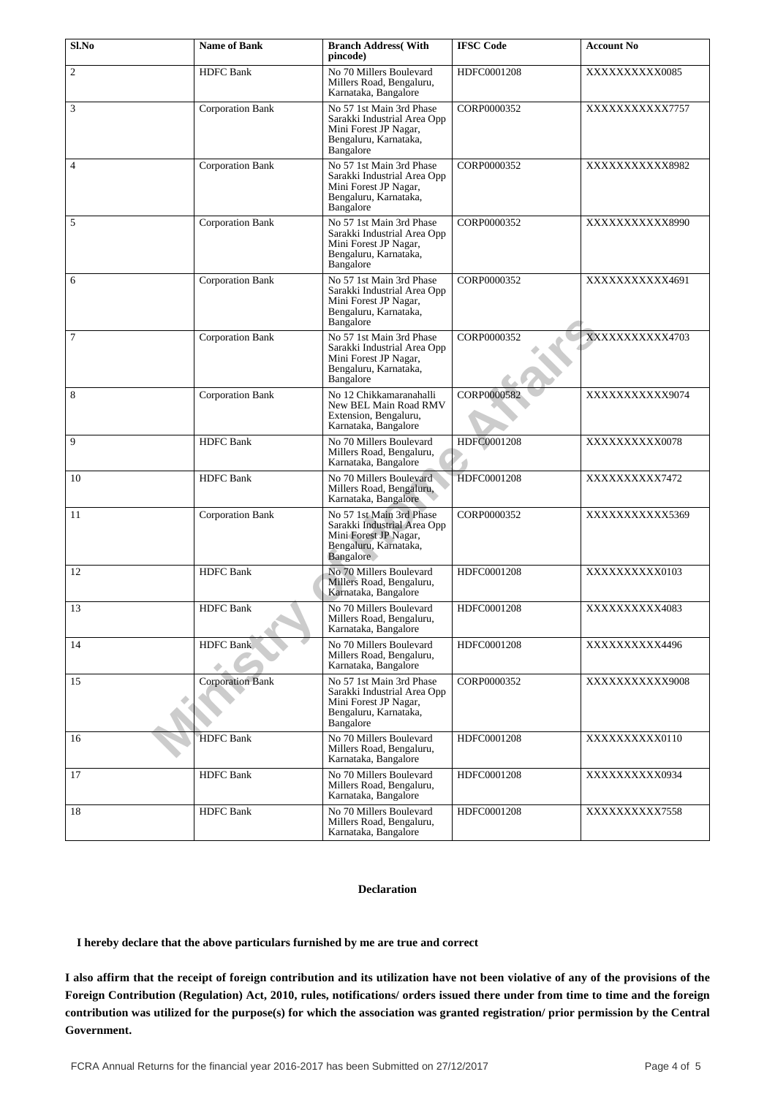| Sl.No          | <b>Name of Bank</b>     | <b>Branch Address</b> (With<br>pincode)                                                                                | <b>IFSC Code</b> | <b>Account No</b> |
|----------------|-------------------------|------------------------------------------------------------------------------------------------------------------------|------------------|-------------------|
| $\overline{2}$ | <b>HDFC</b> Bank        | No 70 Millers Boulevard<br>Millers Road, Bengaluru,<br>Karnataka, Bangalore                                            | HDFC0001208      | XXXXXXXXXX0085    |
| 3              | Corporation Bank        | No 57 1st Main 3rd Phase<br>Sarakki Industrial Area Opp<br>Mini Forest JP Nagar,<br>Bengaluru, Karnataka,<br>Bangalore | CORP0000352      | XXXXXXXXXX7757    |
| $\overline{4}$ | Corporation Bank        | No 57 1st Main 3rd Phase<br>Sarakki Industrial Area Opp<br>Mini Forest JP Nagar,<br>Bengaluru, Karnataka,<br>Bangalore | CORP0000352      | XXXXXXXXXXX8982   |
| 5              | <b>Corporation Bank</b> | No 57 1st Main 3rd Phase<br>Sarakki Industrial Area Opp<br>Mini Forest JP Nagar,<br>Bengaluru, Karnataka,<br>Bangalore | CORP0000352      | XXXXXXXXXXX8990   |
| 6              | Corporation Bank        | No 57 1st Main 3rd Phase<br>Sarakki Industrial Area Opp<br>Mini Forest JP Nagar,<br>Bengaluru, Karnataka,<br>Bangalore | CORP0000352      | XXXXXXXXXX4691    |
| 7              | <b>Corporation Bank</b> | No 57 1st Main 3rd Phase<br>Sarakki Industrial Area Opp<br>Mini Forest JP Nagar,<br>Bengaluru, Karnataka,<br>Bangalore | CORP0000352      | XXXXXXXXXX4703    |
| 8              | <b>Corporation Bank</b> | No 12 Chikkamaranahalli<br>New BEL Main Road RMV<br>Extension, Bengaluru,<br>Karnataka, Bangalore                      | CORP0000582      | XXXXXXXXXXX9074   |
| 9              | <b>HDFC</b> Bank        | No 70 Millers Boulevard<br>Millers Road, Bengaluru,<br>Karnataka, Bangalore                                            | HDFC0001208      | XXXXXXXXXX0078    |
| 10             | <b>HDFC</b> Bank        | No 70 Millers Boulevard<br>Millers Road, Bengaluru,<br>Karnataka, Bangalore                                            | HDFC0001208      | XXXXXXXXX7472     |
| 11             | <b>Corporation Bank</b> | No 57 1st Main 3rd Phase<br>Sarakki Industrial Area Opp<br>Mini Forest JP Nagar,<br>Bengaluru, Karnataka,<br>Bangalore | CORP0000352      | XXXXXXXXXXX5369   |
| 12             | <b>HDFC</b> Bank        | No 70 Millers Boulevard<br>Millers Road, Bengaluru,<br>Karnataka, Bangalore                                            | HDFC0001208      | XXXXXXXXXX0103    |
| 13             | <b>HDFC</b> Bank        | No 70 Millers Boulevard<br>Millers Road, Bengaluru,<br>Karnataka, Bangalore                                            | HDFC0001208      | XXXXXXXXX4083     |
| 14             | <b>HDFC</b> Bank        | No 70 Millers Boulevard<br>Millers Road, Bengaluru,<br>Karnataka, Bangalore                                            | HDFC0001208      | XXXXXXXXX4496     |
| 15             | <b>Corporation Bank</b> | No 57 1st Main 3rd Phase<br>Sarakki Industrial Area Opp<br>Mini Forest JP Nagar,<br>Bengaluru, Karnataka,<br>Bangalore | CORP0000352      | XXXXXXXXXXX9008   |
| 16             | <b>HDFC</b> Bank        | No 70 Millers Boulevard<br>Millers Road, Bengaluru,<br>Karnataka, Bangalore                                            | HDFC0001208      | XXXXXXXXXX0110    |
| 17             | <b>HDFC</b> Bank        | No 70 Millers Boulevard<br>Millers Road, Bengaluru,<br>Karnataka, Bangalore                                            | HDFC0001208      | XXXXXXXXXX0934    |
| 18             | <b>HDFC</b> Bank        | No 70 Millers Boulevard<br>Millers Road, Bengaluru,<br>Karnataka, Bangalore                                            | HDFC0001208      | XXXXXXXXX7558     |

## **Declaration**

 **I hereby declare that the above particulars furnished by me are true and correct**

**I also affirm that the receipt of foreign contribution and its utilization have not been violative of any of the provisions of the Foreign Contribution (Regulation) Act, 2010, rules, notifications/ orders issued there under from time to time and the foreign contribution was utilized for the purpose(s) for which the association was granted registration/ prior permission by the Central Government.**